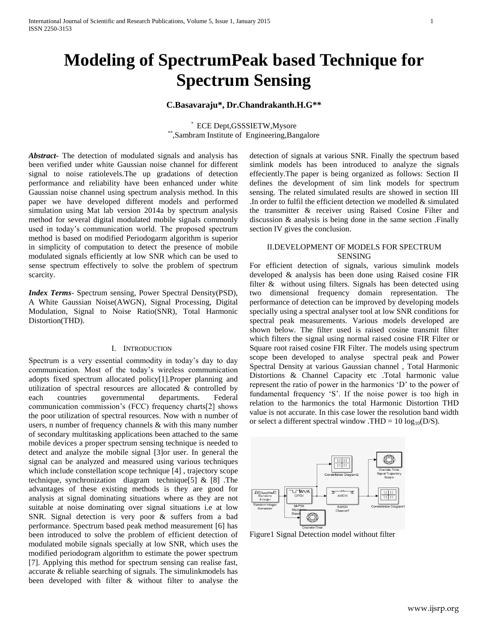# **Modeling of SpectrumPeak based Technique for Spectrum Sensing**

# **C.Basavaraju\*, Dr.Chandrakanth.H.G\*\***

\* ECE Dept,GSSSIETW,Mysore \*\* ,Sambram Institute of Engineering,Bangalore

*Abstract***-** The detection of modulated signals and analysis has been verified under white Gaussian noise channel for different signal to noise ratiolevels.The up gradations of detection performance and reliability have been enhanced under white Gaussian noise channel using spectrum analysis method. In this paper we have developed different models and performed simulation using Mat lab version 2014a by spectrum analysis method for several digital modulated mobile signals commonly used in today"s communication world. The proposed spectrum method is based on modified Periodogarm algorithm is superior in simplicity of computation to detect the presence of mobile modulated signals efficiently at low SNR which can be used to sense spectrum effectively to solve the problem of spectrum scarcity.

*Index Terms*- Spectrum sensing, Power Spectral Density(PSD), A White Gaussian Noise(AWGN), Signal Processing, Digital Modulation, Signal to Noise Ratio(SNR), Total Harmonic Distortion(THD).

#### I. INTRODUCTION

Spectrum is a very essential commodity in today"s day to day communication. Most of the today"s wireless communication adopts fixed spectrum allocated policy[1].Proper planning and utilization of spectral resources are allocated & controlled by each countries governmental departments. Federal communication commission"s (FCC) frequency charts[2] shows the poor utilization of spectral resources. Now with n number of users, n number of frequency channels & with this many number of secondary multitasking applications been attached to the same mobile devices a proper spectrum sensing technique is needed to detect and analyze the mobile signal [3]or user. In general the signal can be analyzed and measured using various techniques which include constellation scope technique [4] , trajectory scope technique, synchronization diagram technique[5] & [8] .The advantages of these existing methods is they are good for analysis at signal dominating situations where as they are not suitable at noise dominating over signal situations i.e at low SNR. Signal detection is very poor & suffers from a bad performance. Spectrum based peak method measurement [6] has been introduced to solve the problem of efficient detection of modulated mobile signals specially at low SNR, which uses the modified periodogram algorithm to estimate the power spectrum [7]. Applying this method for spectrum sensing can realise fast, accurate & reliable searching of signals. The simulinkmodels has been developed with filter & without filter to analyse the detection of signals at various SNR. Finally the spectrum based simlink models has been introduced to analyze the signals effeciently.The paper is being organized as follows: Section II defines the development of sim link models for spectrum sensing. The related simulated results are showed in section III .In order to fulfil the efficient detection we modelled  $\&$  simulated the transmitter & receiver using Raised Cosine Filter and discussion & analysis is being done in the same section .Finally section IV gives the conclusion.

### II.DEVELOPMENT OF MODELS FOR SPECTRUM SENSING

For efficient detection of signals, various simulink models developed & analysis has been done using Raised cosine FIR filter & without using filters. Signals has been detected using two dimensional frequency domain representation. The performance of detection can be improved by developing models specially using a spectral analyser tool at low SNR conditions for spectral peak measurements. Various models developed are shown below. The filter used is raised cosine transmit filter which filters the signal using normal raised cosine FIR Filter or Square root raised cosine FIR Filter. The models using spectrum scope been developed to analyse spectral peak and Power Spectral Density at various Gaussian channel , Total Harmonic Distortions & Channel Capacity etc .Total harmonic value represent the ratio of power in the harmonics "D" to the power of fundamental frequency 'S'. If the noise power is too high in relation to the harmonics the total Harmonic Distortion THD value is not accurate. In this case lower the resolution band width or select a different spectral window .THD =  $10 \log_{10}(D/S)$ .



Figure1 Signal Detection model without filter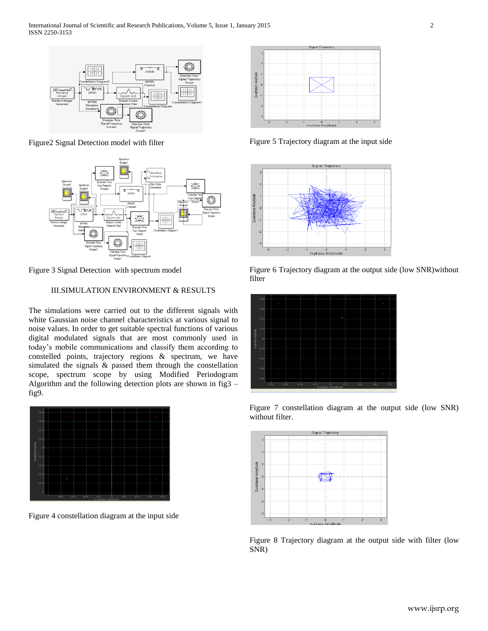

Figure2 Signal Detection model with filter



Figure 3 Signal Detection with spectrum model

## III.SIMULATION ENVIRONMENT & RESULTS

The simulations were carried out to the different signals with white Gaussian noise channel characteristics at various signal to noise values. In order to get suitable spectral functions of various digital modulated signals that are most commonly used in today"s mobile communications and classify them according to constelled points, trajectory regions & spectrum, we have simulated the signals & passed them through the constellation scope, spectrum scope by using Modified Periodogram Algorithm and the following detection plots are shown in fig3 – fig9.



Figure 4 constellation diagram at the input side



Figure 5 Trajectory diagram at the input side







Figure 7 constellation diagram at the output side (low SNR) without filter.



Figure 8 Trajectory diagram at the output side with filter (low SNR)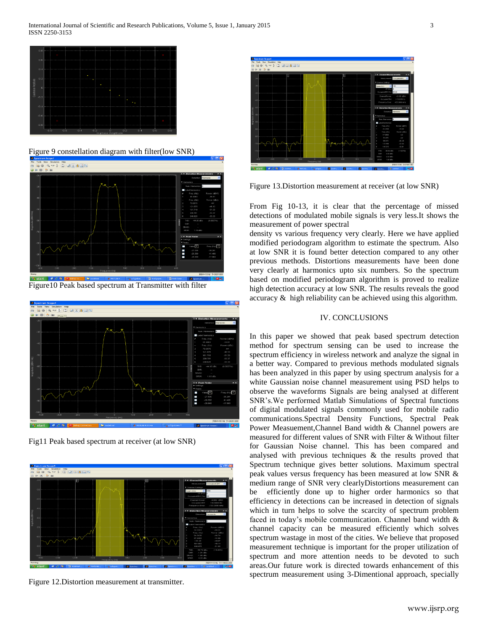

Figure 9 constellation diagram with filter(low SNR)



Figure10 Peak based spectrum at Transmitter with filter



Fig11 Peak based spectrum at receiver (at low SNR)



Figure 12.Distortion measurement at transmitter.



Figure 13.Distortion measurement at receiver (at low SNR)

From Fig 10-13, it is clear that the percentage of missed detections of modulated mobile signals is very less.It shows the measurement of power spectral

density vs various frequency very clearly. Here we have applied modified periodogram algorithm to estimate the spectrum. Also at low SNR it is found better detection compared to any other previous methods. Distortions measurements have been done very clearly at harmonics upto six numbers. So the spectrum based on modified periodogram algorithm is proved to realize high detection accuracy at low SNR. The results reveals the good accuracy & high reliability can be achieved using this algorithm.

#### IV. CONCLUSIONS

In this paper we showed that peak based spectrum detection method for spectrum sensing can be used to increase the spectrum efficiency in wireless network and analyze the signal in a better way. Compared to previous methods modulated signals has been analyzed in this paper by using spectrum analysis for a white Gaussian noise channel measurement using PSD helps to observe the waveforms Signals are being analysed at different SNR"s.We performed Matlab Simulations of Spectral functions of digital modulated signals commonly used for mobile radio communications.Spectral Density Functions, Spectral Peak Power Measuement,Channel Band width & Channel powers are measured for different values of SNR with Filter & Without filter for Gaussian Noise channel. This has been compared and analysed with previous techniques & the results proved that Spectrum technique gives better solutions. Maximum spectral peak values versus frequency has been measured at low SNR & medium range of SNR very clearlyDistortions measurement can be efficiently done up to higher order harmonics so that efficiency in detections can be increased in detection of signals which in turn helps to solve the scarcity of spectrum problem faced in today's mobile communication. Channel band width  $\&$ channel capacity can be measured efficiently which solves spectrum wastage in most of the cities. We believe that proposed measurement technique is important for the proper utilization of spectrum and more attention needs to be devoted to such areas.Our future work is directed towards enhancement of this spectrum measurement using 3-Dimentional approach, specially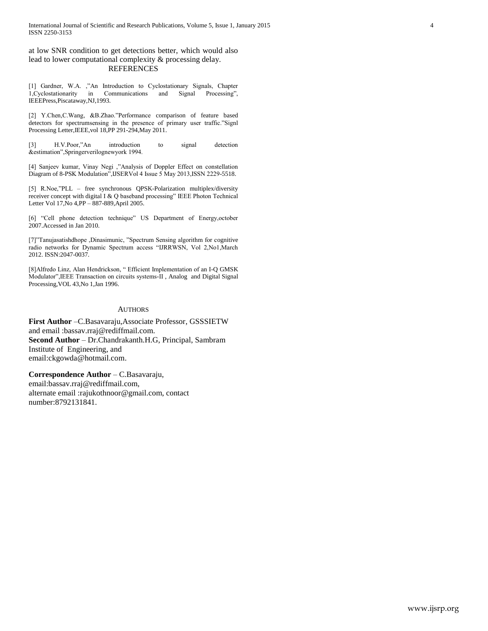at low SNR condition to get detections better, which would also lead to lower computational complexity & processing delay. REFERENCES

[1] Gardner, W.A. ,"An Introduction to Cyclostationary Signals, Chapter 1,Cyclostationarity in Communications and Signal Processing", IEEEPress,Piscataway,NJ,1993.

[2] Y.Chen,C.Wang, &B.Zhao."Performance comparison of feature based detectors for spectrumsensing in the presence of primary user traffic."Signl Processing Letter,IEEE,vol 18,PP 291-294,May 2011.

[3] H.V.Poor,"An introduction to signal detection &estimation",Springerverilognewyork 1994.

[4] Sanjeev kumar, Vinay Negi ,"Analysis of Doppler Effect on constellation Diagram of 8-PSK Modulation",IJSERVol 4 Issue 5 May 2013,ISSN 2229-5518.

[5] R.Noe,"PLL – free synchronous QPSK-Polarization multiplex/diversity receiver concept with digital I & Q baseband processing" IEEE Photon Technical Letter Vol 17,No 4,PP – 887-889,April 2005.

[6] "Cell phone detection technique" US Department of Energy,october 2007.Accessed in Jan 2010.

[7]"Tanujasatishdhope ,Dinasimunic, "Spectrum Sensing algorithm for cognitive radio networks for Dynamic Spectrum access "IJRRWSN, Vol 2,No1,March 2012. ISSN:2047-0037.

[8]Alfredo Linz, Alan Hendrickson, " Efficient Implementation of an I-Q GMSK Modulator",IEEE Transaction on circuits systems-II , Analog and Digital Signal Processing,VOL 43,No 1,Jan 1996.

#### **AUTHORS**

**First Author** –C.Basavaraju,Associate Professor, GSSSIETW and email :bassav.rraj@rediffmail.com. **Second Author** – Dr.Chandrakanth.H.G, Principal, Sambram Institute of Engineering, and email:ckgowda@hotmail.com.

**Correspondence Author** – C.Basavaraju, email:bassav.rraj@rediffmail.com, alternate email :rajukothnoor@gmail.com, contact number:8792131841.